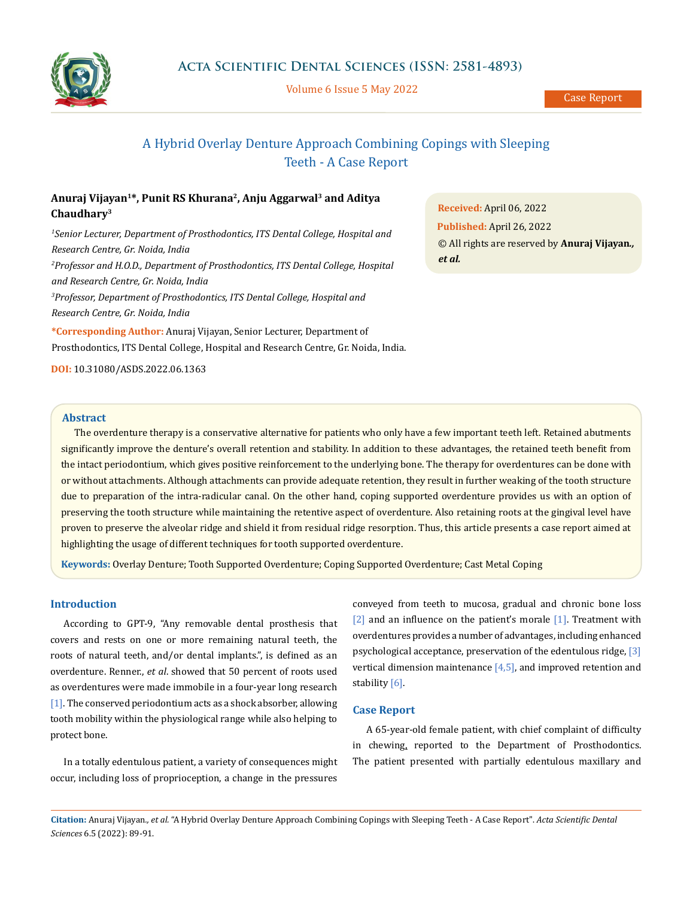

Volume 6 Issue 5 May 2022

# A Hybrid Overlay Denture Approach Combining Copings with Sleeping Teeth - A Case Report

# **Anuraj Vijayan1\*, Punit RS Khurana2, Anju Aggarwal3 and Aditya Chaudhary3**

*1 Senior Lecturer, Department of Prosthodontics, ITS Dental College, Hospital and Research Centre, Gr. Noida, India* <sup>2</sup> Professor and H.O.D., Department of Prosthodontics, ITS Dental College, Hospital *and Research Centre, Gr. Noida, India 3 Professor, Department of Prosthodontics, ITS Dental College, Hospital and Research Centre, Gr. Noida, India*

**\*Corresponding Author:** Anuraj Vijayan, Senior Lecturer, Department of Prosthodontics, ITS Dental College, Hospital and Research Centre, Gr. Noida, India.

**DOI:** [10.31080/ASDS.2022.06.1363](http:// actascientific.com/ASDS/pdf/ASDS-06-1363.pdf)

**Received:** April 06, 2022 **Published:** April 26, 2022 © All rights are reserved by **Anuraj Vijayan***., et al.*

## **Abstract**

The overdenture therapy is a conservative alternative for patients who only have a few important teeth left. Retained abutments significantly improve the denture's overall retention and stability. In addition to these advantages, the retained teeth benefit from the intact periodontium, which gives positive reinforcement to the underlying bone. The therapy for overdentures can be done with or without attachments. Although attachments can provide adequate retention, they result in further weaking of the tooth structure due to preparation of the intra-radicular canal. On the other hand, coping supported overdenture provides us with an option of preserving the tooth structure while maintaining the retentive aspect of overdenture. Also retaining roots at the gingival level have proven to preserve the alveolar ridge and shield it from residual ridge resorption. Thus, this article presents a case report aimed at highlighting the usage of different techniques for tooth supported overdenture.

**Keywords:** Overlay Denture; Tooth Supported Overdenture; Coping Supported Overdenture; Cast Metal Coping

## **Introduction**

According to GPT-9, "Any removable dental prosthesis that covers and rests on one or more remaining natural teeth, the roots of natural teeth, and/or dental implants.", is defined as an overdenture. Renner., *et al*. showed that 50 percent of roots used as overdentures were made immobile in a four-year long research  $[1]$ . The conserved periodontium acts as a shock absorber, allowing tooth mobility within the physiological range while also helping to protect bone.

In a totally edentulous patient, a variety of consequences might occur, including loss of proprioception, a change in the pressures

conveyed from teeth to mucosa, gradual and chronic bone loss  $[2]$  and an influence on the patient's morale  $[1]$ . Treatment with overdentures provides a number of advantages, including enhanced psychological acceptance, preservation of the edentulous ridge, [3] vertical dimension maintenance  $[4,5]$ , and improved retention and stability [6].

### **Case Report**

A 65-year-old female patient, with chief complaint of difficulty in chewing, reported to the Department of Prosthodontics. The patient presented with partially edentulous maxillary and

**Citation:** Anuraj Vijayan*., et al.* "A Hybrid Overlay Denture Approach Combining Copings with Sleeping Teeth - A Case Report". *Acta Scientific Dental Sciences* 6.5 (2022): 89-91.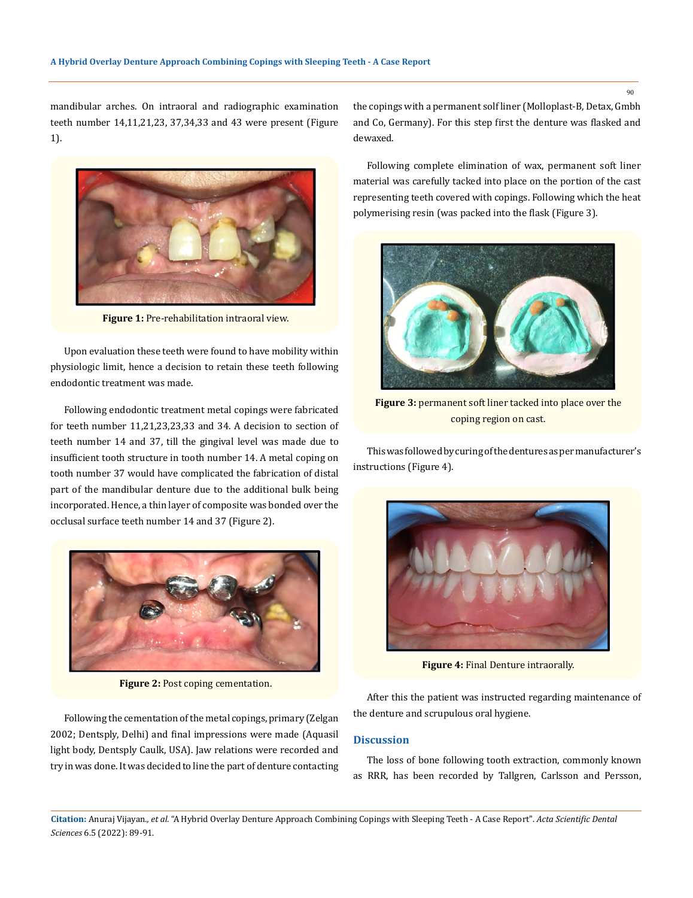mandibular arches. On intraoral and radiographic examination teeth number 14,11,21,23, 37,34,33 and 43 were present (Figure 1).



**Figure 1:** Pre-rehabilitation intraoral view.

Upon evaluation these teeth were found to have mobility within physiologic limit, hence a decision to retain these teeth following endodontic treatment was made.

Following endodontic treatment metal copings were fabricated for teeth number 11,21,23,23,33 and 34. A decision to section of teeth number 14 and 37, till the gingival level was made due to insufficient tooth structure in tooth number 14. A metal coping on tooth number 37 would have complicated the fabrication of distal part of the mandibular denture due to the additional bulk being incorporated. Hence, a thin layer of composite was bonded over the occlusal surface teeth number 14 and 37 (Figure 2).



**Figure 2: Post coping cementation.** 

Following the cementation of the metal copings, primary (Zelgan 2002; Dentsply, Delhi) and final impressions were made (Aquasil light body, Dentsply Caulk, USA). Jaw relations were recorded and try in was done. It was decided to line the part of denture contacting the copings with a permanent solf liner (Molloplast-B, Detax, Gmbh and Co, Germany). For this step first the denture was flasked and dewaxed.

Following complete elimination of wax, permanent soft liner material was carefully tacked into place on the portion of the cast representing teeth covered with copings. Following which the heat polymerising resin (was packed into the flask (Figure 3).



**Figure 3:** permanent soft liner tacked into place over the coping region on cast.

This was followed by curing of the dentures as per manufacturer's instructions (Figure 4).



**Figure 4:** Final Denture intraorally.

After this the patient was instructed regarding maintenance of the denture and scrupulous oral hygiene.

### **Discussion**

The loss of bone following tooth extraction, commonly known as RRR, has been recorded by Tallgren, Carlsson and Persson,

**Citation:** Anuraj Vijayan*., et al.* "A Hybrid Overlay Denture Approach Combining Copings with Sleeping Teeth - A Case Report". *Acta Scientific Dental Sciences* 6.5 (2022): 89-91.

 $90$